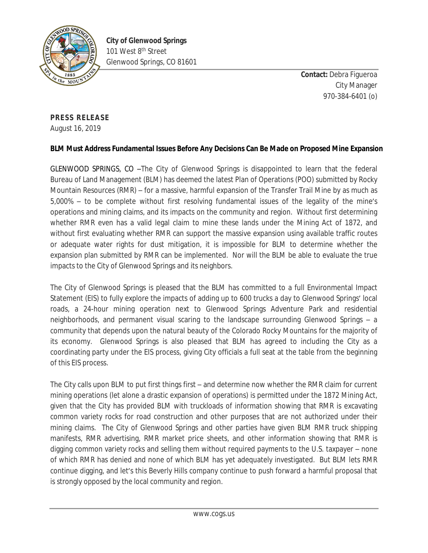

**Contact:** Debra Figueroa City Manager 970-384-6401 (o)

## **PRESS RELEASE**

August 16, 2019

## **BLM Must Address Fundamental Issues Before Any Decisions Can Be Made on Proposed Mine Expansion**

GLENWOOD SPRINGS, CO –The City of Glenwood Springs is disappointed to learn that the federal Bureau of Land Management (BLM) has deemed the latest Plan of Operations (POO) submitted by Rocky Mountain Resources (RMR) – for a massive, harmful expansion of the Transfer Trail Mine by as much as 5,000% – to be complete without first resolving fundamental issues of the legality of the mine's operations and mining claims, and its impacts on the community and region. Without first determining whether RMR even has a valid legal claim to mine these lands under the Mining Act of 1872, and without first evaluating whether RMR can support the massive expansion using available traffic routes or adequate water rights for dust mitigation, it is impossible for BLM to determine whether the expansion plan submitted by RMR can be implemented. Nor will the BLM be able to evaluate the true impacts to the City of Glenwood Springs and its neighbors.

The City of Glenwood Springs is pleased that the BLM has committed to a full Environmental Impact Statement (EIS) to fully explore the impacts of adding up to 600 trucks a day to Glenwood Springs' local roads, a 24-hour mining operation next to Glenwood Springs Adventure Park and residential neighborhoods, and permanent visual scaring to the landscape surrounding Glenwood Springs – a community that depends upon the natural beauty of the Colorado Rocky Mountains for the majority of its economy. Glenwood Springs is also pleased that BLM has agreed to including the City as a coordinating party under the EIS process, giving City officials a full seat at the table from the beginning of this EIS process.

The City calls upon BLM to put first things first – and determine now whether the RMR claim for current mining operations (let alone a drastic expansion of operations) is permitted under the 1872 Mining Act, given that the City has provided BLM with truckloads of information showing that RMR is excavating common variety rocks for road construction and other purposes that are not authorized under their mining claims. The City of Glenwood Springs and other parties have given BLM RMR truck shipping manifests, RMR advertising, RMR market price sheets, and other information showing that RMR is digging common variety rocks and selling them without required payments to the U.S. taxpayer – none of which RMR has denied and none of which BLM has yet adequately investigated. But BLM lets RMR continue digging, and let's this Beverly Hills company continue to push forward a harmful proposal that is strongly opposed by the local community and region.